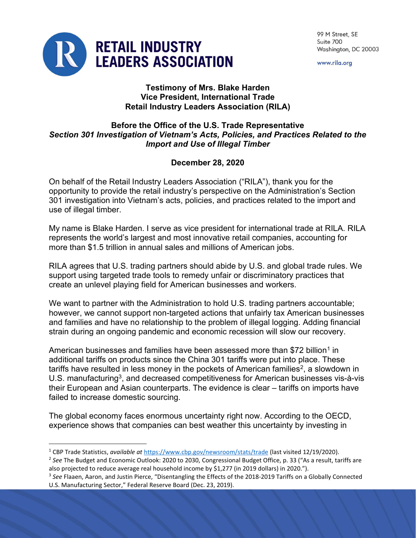

99 M Street, SE Suite 700 Washington, DC 20003

www.rila.org

## Testimony of Mrs. Blake Harden Vice President, International Trade Retail Industry Leaders Association (RILA)

## Before the Office of the U.S. Trade Representative Section 301 Investigation of Vietnam's Acts, Policies, and Practices Related to the Import and Use of Illegal Timber

## December 28, 2020

On behalf of the Retail Industry Leaders Association ("RILA"), thank you for the opportunity to provide the retail industry's perspective on the Administration's Section 301 investigation into Vietnam's acts, policies, and practices related to the import and use of illegal timber.

My name is Blake Harden. I serve as vice president for international trade at RILA. RILA represents the world's largest and most innovative retail companies, accounting for more than \$1.5 trillion in annual sales and millions of American jobs.

RILA agrees that U.S. trading partners should abide by U.S. and global trade rules. We support using targeted trade tools to remedy unfair or discriminatory practices that create an unlevel playing field for American businesses and workers.

We want to partner with the Administration to hold U.S. trading partners accountable; however, we cannot support non-targeted actions that unfairly tax American businesses and families and have no relationship to the problem of illegal logging. Adding financial strain during an ongoing pandemic and economic recession will slow our recovery.

American businesses and families have been assessed more than \$72 billion<sup>1</sup> in additional tariffs on products since the China 301 tariffs were put into place. These tariffs have resulted in less money in the pockets of American families $^2$ , a slowdown in U.S. manufacturing<sup>3</sup>, and decreased competitiveness for American businesses vis-à-vis their European and Asian counterparts. The evidence is clear – tariffs on imports have failed to increase domestic sourcing.

The global economy faces enormous uncertainty right now. According to the OECD, experience shows that companies can best weather this uncertainty by investing in

<sup>&</sup>lt;sup>1</sup> CBP Trade Statistics, available at https://www.cbp.gov/newsroom/stats/trade (last visited 12/19/2020).

<sup>&</sup>lt;sup>2</sup> See The Budget and Economic Outlook: 2020 to 2030, Congressional Budget Office, p. 33 ("As a result, tariffs are also projected to reduce average real household income by \$1,277 (in 2019 dollars) in 2020.").

 $3$  See Flaaen, Aaron, and Justin Pierce, "Disentangling the Effects of the 2018-2019 Tariffs on a Globally Connected U.S. Manufacturing Sector," Federal Reserve Board (Dec. 23, 2019).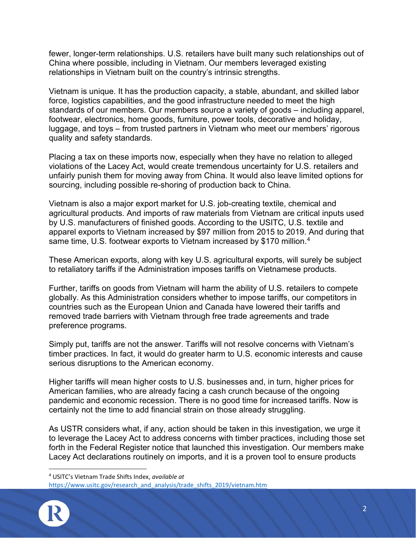fewer, longer-term relationships. U.S. retailers have built many such relationships out of China where possible, including in Vietnam. Our members leveraged existing relationships in Vietnam built on the country's intrinsic strengths.

Vietnam is unique. It has the production capacity, a stable, abundant, and skilled labor force, logistics capabilities, and the good infrastructure needed to meet the high standards of our members. Our members source a variety of goods – including apparel, footwear, electronics, home goods, furniture, power tools, decorative and holiday, luggage, and toys – from trusted partners in Vietnam who meet our members' rigorous quality and safety standards.

Placing a tax on these imports now, especially when they have no relation to alleged violations of the Lacey Act, would create tremendous uncertainty for U.S. retailers and unfairly punish them for moving away from China. It would also leave limited options for sourcing, including possible re-shoring of production back to China.

Vietnam is also a major export market for U.S. job-creating textile, chemical and agricultural products. And imports of raw materials from Vietnam are critical inputs used by U.S. manufacturers of finished goods. According to the USITC, U.S. textile and apparel exports to Vietnam increased by \$97 million from 2015 to 2019. And during that same time, U.S. footwear exports to Vietnam increased by \$170 million.<sup>4</sup>

These American exports, along with key U.S. agricultural exports, will surely be subject to retaliatory tariffs if the Administration imposes tariffs on Vietnamese products.

Further, tariffs on goods from Vietnam will harm the ability of U.S. retailers to compete globally. As this Administration considers whether to impose tariffs, our competitors in countries such as the European Union and Canada have lowered their tariffs and removed trade barriers with Vietnam through free trade agreements and trade preference programs.

Simply put, tariffs are not the answer. Tariffs will not resolve concerns with Vietnam's timber practices. In fact, it would do greater harm to U.S. economic interests and cause serious disruptions to the American economy.

Higher tariffs will mean higher costs to U.S. businesses and, in turn, higher prices for American families, who are already facing a cash crunch because of the ongoing pandemic and economic recession. There is no good time for increased tariffs. Now is certainly not the time to add financial strain on those already struggling.

As USTR considers what, if any, action should be taken in this investigation, we urge it to leverage the Lacey Act to address concerns with timber practices, including those set forth in the Federal Register notice that launched this investigation. Our members make Lacey Act declarations routinely on imports, and it is a proven tool to ensure products

https://www.usitc.gov/research\_and\_analysis/trade\_shifts\_2019/vietnam.htm



<sup>&</sup>lt;sup>4</sup> USITC's Vietnam Trade Shifts Index, available at